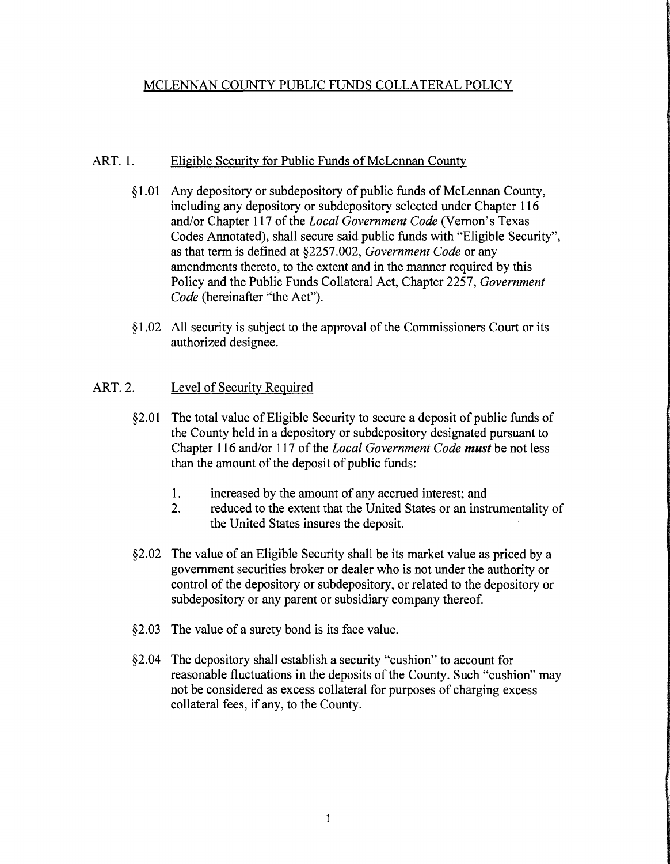# MCLENNAN COUNTY PUBLIC FUNDS COLLATERAL POLICY

### ART. 1. Eligible Security for Public Funds of McLennan County

- §l.OI Any depository or subdepository of public funds of McLennan County, including any depository or subdepository selected under Chapter 116 and/or Chapter 117 of the *Local Government Code* (Vernon's Texas Codes Annotated), shall secure said public funds with "Eligible Security", as that term is defined at §2257.002, *Government Code* or any amendments thereto, to the extent and in the manner required by this Policy and the Public Funds Collateral Act, Chapter 2257, *Government Code* (hereinafter "the Act").
- § 1.02 All security is subject to the approval of the Commissioners Court or its authorized designee.

## ART. 2. Level of Security Required

- §2.01 The total value of Eligible Security to secure a deposit of public funds of the County held in a depository or subdepository designated pursuant to Chapter 116 and/or 117 of the *Local Government Code must* be not less than the amount of the deposit of public funds:
	- 1. increased by the amount of any accrued interest; and
	- 2. reduced to the extent that the United States or an instrumentality of the United States insures the deposit.
- §2.02 The value of an Eligible Security shall be its market value as priced by a government securities broker or dealer who is not under the authority or control of the depository or subdepository, or related to the depository or subdepository or any parent or subsidiary company thereof.
- §2.03 The value of a surety bond is its face value.
- §2.04 The depository shall establish a security "cushion" to account for reasonable fluctuations in the deposits of the County. Such "cushion" may not be considered as excess collateral for purposes of charging excess collateral fees, if any, to the County.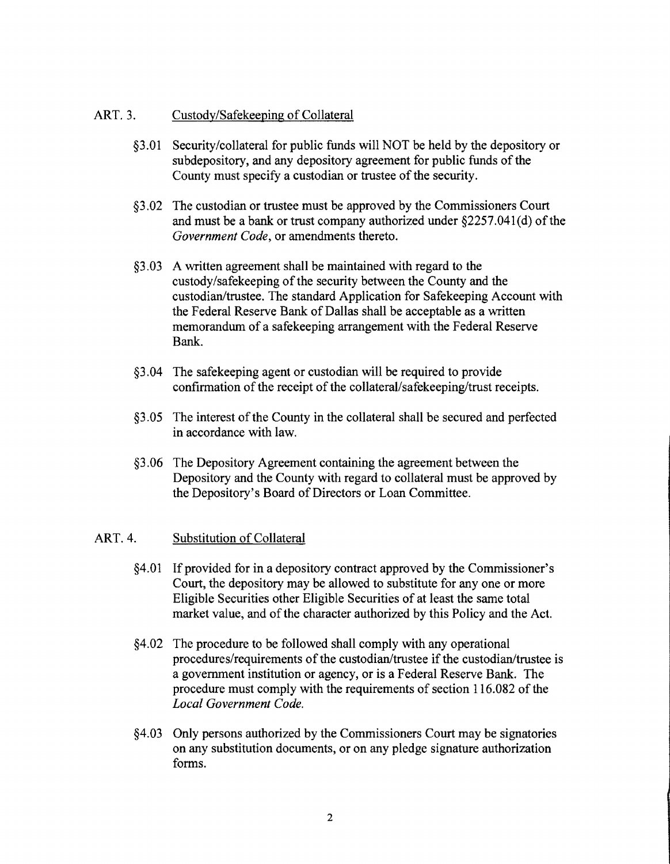### ART. 3. Custody/Safekeeping of Collateral

- §3.01 Security/collateral for public funds will NOT be held by the depository or subdepository, and any depository agreement for public funds of the County must specify a custodian or trustee of the security.
- §3.02 The custodian or trustee must be approved by the Commissioners Court and must be a bank or trust company authorized under  $\S2257.041(d)$  of the *Government Code,* or amendments thereto.
- §3.03 A written agreement shall be maintained with regard to the custody/safekeeping of the security between the County and the custodian/trustee. The standard Application for Safekeeping Account with the Federal Reserve Bank of Dallas shall be acceptable as a written memorandum of a safekeeping arrangement with the Federal Reserve Bank.
- §3.04 The safekeeping agent or custodian will be required to provide confirmation of the receipt of the collateral/safekeeping/trust receipts.
- §3.05 The interest of the County in the collateral shall be secured and perfected in accordance with law.
- §3.06 The Depository Agreement containing the agreement between the Depository and the County with regard to collateral must be approved by the Depository's Board of Directors or Loan Committee.

### ART. 4. Substitution of Collateral

- §4.01 Ifprovided for in a depository contract approved by the Commissioner's Court, the depository may be allowed to substitute for anyone or more Eligible Securities other Eligible Securities of at least the same total market value, and of the character authorized by this Policy and the Act.
- §4.02 The procedure to be followed shall comply with any operational procedures/requirements of the custodian/trustee if the custodian/trustee is a government institution or agency, or is a Federal Reserve Bank. The procedure must comply with the requirements of section 116.082 of the *Local Government Code.*
- §4.03 Only persons authorized by the Commissioners Court may be signatories on any substitution documents, or on any pledge signature authorization forms.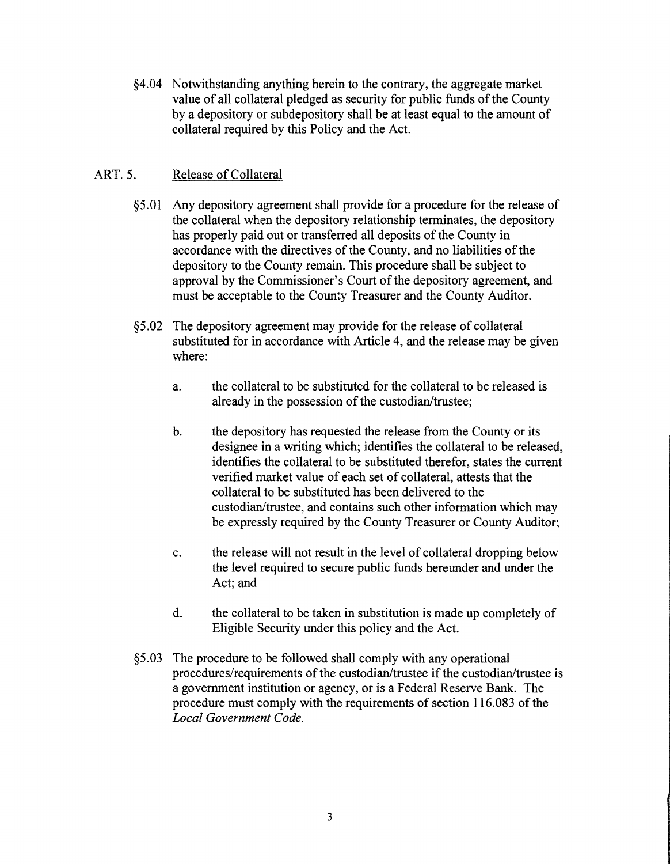§4.04 Notwithstanding anything herein to the contrary, the aggregate market value of all collateral pledged as security for public funds of the County by a depository or subdepository shall be at least equal to the amount of collateral required by this Policy and the Act.

## ART. 5. Release of Collateral

- §5.01 Any depository agreement shall provide for a procedure for the release of the collateral when the depository relationship terminates, the depository has properly paid out or transferred all deposits of the County in accordance with the directives of the County, and no liabilities of the depository to the County remain. This procedure shall be subject to approval by the Commissioner's Court of the depository agreement, and must be acceptable to the County Treasurer and the County Auditor.
- §5.02 The depository agreement may provide for the release of collateral substituted for in accordance with Article 4, and the release may be given where:
	- a. the collateral to be substituted for the collateral to be released is already in the possession of the custodian/trustee;
	- b. the depository has requested the release from the County or its designee in a writing which; identifies the collateral to be released, identifies the collateral to be substituted therefor, states the current verified market value of each set of collateral, attests that the collateral to be substituted has been delivered to the custodian/trustee, and contains such other information which may be expressly required by the County Treasurer or County Auditor;
	- c. the release will not result in the level of collateral dropping below the level required to secure public funds hereunder and under the Act; and
	- d. the collateral to be taken in substitution is made up completely of Eligible Security under this policy and the Act.
- §5.03 The procedure to be followed shall comply with any operational procedures/requirements of the custodian/trustee if the custodian/trustee is a government institution or agency, or is a Federal Reserve Bank. The procedure must comply with the requirements of section 116.083 of the *Local Government Code.*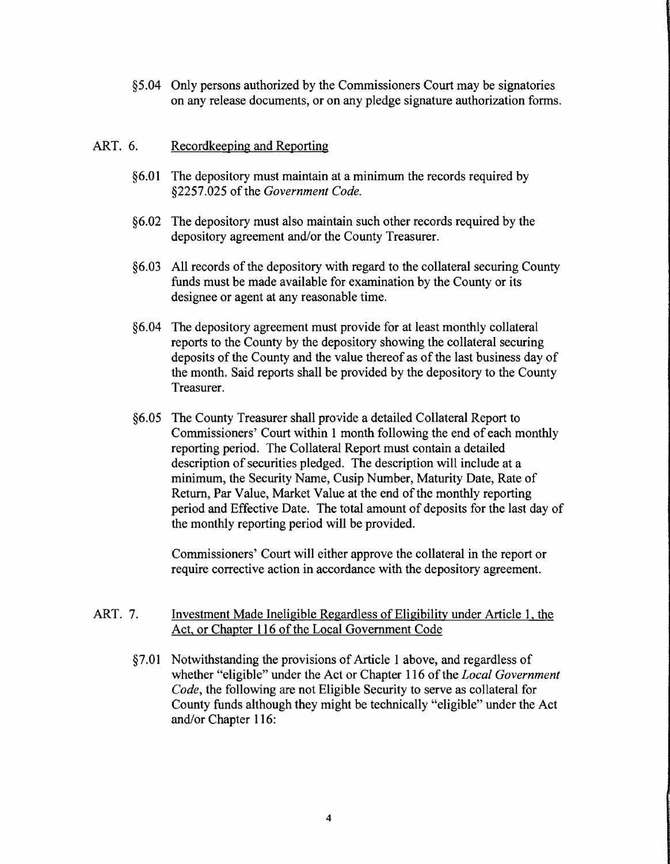§5.04 Only persons authorized by the Commissioners Court may be signatories on any release documents, or on any pledge signature authorization forms.

### ART. 6. Recordkeeping and Reporting

- §6.01 The depository must maintain at a minimum the records required by §2257.025 of the *Government Code*.
- §6.02 The depository must also maintain such other records required by the depository agreement and/or the County Treasurer.
- §6.03 All records of the depository with regard to the collateral securing County funds must be made available for examination by the County or its designee or agent at any reasonable time.
- §6.04 The depository agreement must provide for at least monthly collateral reports to the County by the depository showing the collateral securing deposits of the County and the value thereof as of the last business day of the month. Said reports shall be provided by the depository to the County Treasurer.
- §6.05 The County Treasurer shall provide a detailed Collateral Report to Commissioners' Court within 1 month following the end of each monthly reporting period. The Collateral Report must contain a detailed description of securities pledged. The description will include at a minimum, the Security Name, Cusip Number, Maturity Date, Rate of Return, Par Value, Market Value at the end of the monthly reporting period and Effective Date. The total amount of deposits for the last day of the monthly reporting period will be provided.

Commissioners' Court will either approve the collateral in the report or require corrective action in accordance with the depository agreement.

- ART. 7. Investment Made Ineligible Regardless of Eligibility under Article 1, the Act, or Chapter 116 of the Local Government Code
	- $§7.01$  Notwithstanding the provisions of Article 1 above, and regardless of whether "eligible" under the Act or Chapter 116 of the *Local Government Code,* the following are not Eligible Security to serve as collateral for County funds although they might be technically "eligible" under the Act and/or Chapter 116: